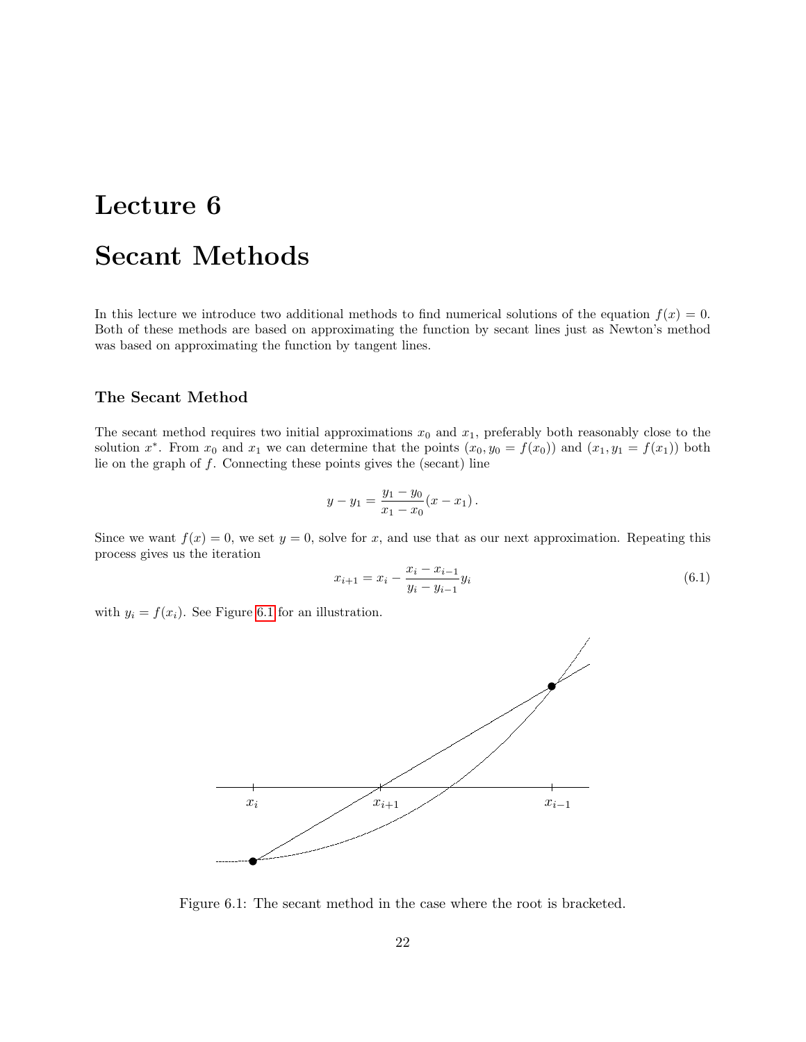## Lecture 6

# Secant Methods

In this lecture we introduce two additional methods to find numerical solutions of the equation  $f(x) = 0$ . Both of these methods are based on approximating the function by secant lines just as Newton's method was based on approximating the function by tangent lines.

## The Secant Method

The secant method requires two initial approximations  $x_0$  and  $x_1$ , preferably both reasonably close to the solution  $x^*$ . From  $x_0$  and  $x_1$  we can determine that the points  $(x_0, y_0 = f(x_0))$  and  $(x_1, y_1 = f(x_1))$  both lie on the graph of  $f$ . Connecting these points gives the (secant) line

$$
y - y_1 = \frac{y_1 - y_0}{x_1 - x_0} (x - x_1).
$$

Since we want  $f(x) = 0$ , we set  $y = 0$ , solve for x, and use that as our next approximation. Repeating this process gives us the iteration

<span id="page-0-1"></span>
$$
x_{i+1} = x_i - \frac{x_i - x_{i-1}}{y_i - y_{i-1}} y_i \tag{6.1}
$$

with  $y_i = f(x_i)$ . See Figure [6.1](#page-0-0) for an illustration.



<span id="page-0-0"></span>Figure 6.1: The secant method in the case where the root is bracketed.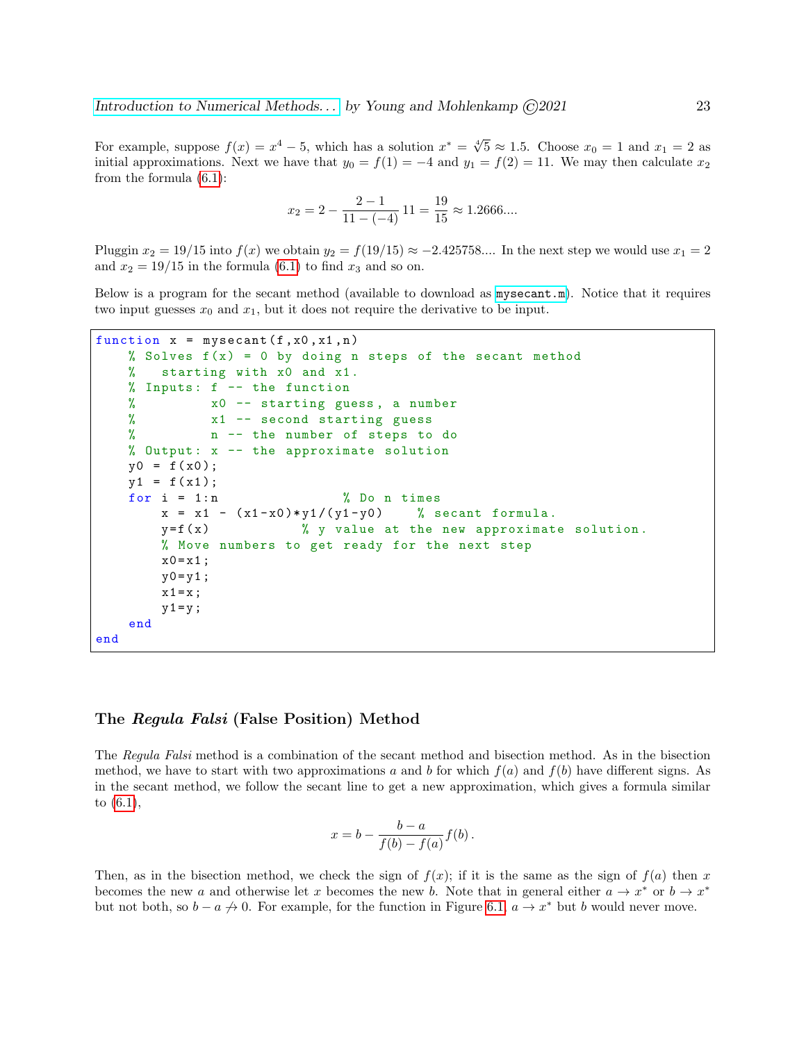For example, suppose  $f(x) = x^4 - 5$ , which has a solution  $x^* = \sqrt[4]{5} \approx 1.5$ . Choose  $x_0 = 1$  and  $x_1 = 2$  as initial approximations. Next we have that  $y_0 = f(1) = -4$  and  $y_1 = f(2) = 11$ . We may then calculate  $x_2$ from the formula [\(6.1\)](#page-0-1):

$$
x_2 = 2 - \frac{2 - 1}{11 - (-4)} 11 = \frac{19}{15} \approx 1.2666...
$$

Pluggin  $x_2 = 19/15$  into  $f(x)$  we obtain  $y_2 = f(19/15) \approx -2.425758...$  In the next step we would use  $x_1 = 2$ and  $x_2 = 19/15$  in the formula [\(6.1\)](#page-0-1) to find  $x_3$  and so on.

Below is a program for the secant method (available to download as [mysecant.m](http://www.ohiouniversityfaculty.com/youngt/IntNumMeth/mysecant.m)). Notice that it requires two input guesses  $x_0$  and  $x_1$ , but it does not require the derivative to be input.

```
function x = mysecant (f, x0, x1, n)% Solves f(x) = 0 by doing n steps of the secant method
   % starting with x0 and x1.
   % Inputs : f -- the function
   % x0 -- starting guess , a number
   % x1 -- second starting guess
   % n -- the number of steps to do
   % Output: x -- the approximate solution
   y0 = f(x0);y1 = f(x1);for i = 1:n % Do n times
       x = x1 - (x1-x0) * y1/(y1-y0) % secant formula.
       y = f(x) % y value at the new approximate solution.
       % Move numbers to get ready for the next step
       x0 = x1;
       y0 = y1;x1 = x;y1 = y;end
end
```
### The Regula Falsi (False Position) Method

The Regula Falsi method is a combination of the secant method and bisection method. As in the bisection method, we have to start with two approximations a and b for which  $f(a)$  and  $f(b)$  have different signs. As in the secant method, we follow the secant line to get a new approximation, which gives a formula similar to [\(6.1\)](#page-0-1),

$$
x = b - \frac{b-a}{f(b) - f(a)} f(b).
$$

Then, as in the bisection method, we check the sign of  $f(x)$ ; if it is the same as the sign of  $f(a)$  then x becomes the new a and otherwise let x becomes the new b. Note that in general either  $a \to x^*$  or  $b \to x^*$ but not both, so  $b - a \nrightarrow 0$ . For example, for the function in Figure [6.1,](#page-0-0)  $a \rightarrow x^*$  but b would never move.